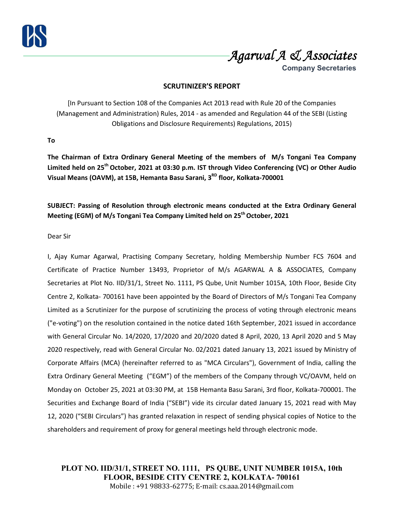



**Company Secretaries**

### **SCRUTINIZER'S REPORT**

[In Pursuant to Section 108 of the Companies Act 2013 read with Rule 20 of the Companies (Management and Administration) Rules, 2014 - as amended and Regulation 44 of the SEBI (Listing Obligations and Disclosure Requirements) Regulations, 2015)

**To** 

**The Chairman of Extra Ordinary General Meeting of the members of M/s Tongani Tea Company Limited held on 25th October, 2021 at 03:30 p.m. IST through Video Conferencing (VC) or Other Audio Visual Means (OAVM), at 15B, Hemanta Basu Sarani, 3RD floor, Kolkata-700001** 

**SUBJECT: Passing of Resolution through electronic means conducted at the Extra Ordinary General Meeting (EGM) of M/s Tongani Tea Company Limited held on 25th October, 2021** 

### Dear Sir

I, Ajay Kumar Agarwal, Practising Company Secretary, holding Membership Number FCS 7604 and Certificate of Practice Number 13493, Proprietor of M/s AGARWAL A & ASSOCIATES, Company Secretaries at Plot No. IID/31/1, Street No. 1111, PS Qube, Unit Number 1015A, 10th Floor, Beside City Centre 2, Kolkata- 700161 have been appointed by the Board of Directors of M/s Tongani Tea Company Limited as a Scrutinizer for the purpose of scrutinizing the process of voting through electronic means ("e-voting") on the resolution contained in the notice dated 16th September, 2021 issued in accordance with General Circular No. 14/2020, 17/2020 and 20/2020 dated 8 April, 2020, 13 April 2020 and 5 May 2020 respectively, read with General Circular No. 02/2021 dated January 13, 2021 issued by Ministry of Corporate Affairs (MCA) (hereinafter referred to as "MCA Circulars"), Government of India, calling the Extra Ordinary General Meeting ("EGM") of the members of the Company through VC/OAVM, held on Monday on October 25, 2021 at 03:30 PM, at 15B Hemanta Basu Sarani, 3rd floor, Kolkata-700001. The Securities and Exchange Board of India ("SEBI") vide its circular dated January 15, 2021 read with May 12, 2020 ("SEBI Circulars") has granted relaxation in respect of sending physical copies of Notice to the shareholders and requirement of proxy for general meetings held through electronic mode.

**PLOT NO. IID/31/1, STREET NO. 1111, PS QUBE, UNIT NUMBER 1015A, 10th FLOOR, BESIDE CITY CENTRE 2, KOLKATA- 700161** Mobile : +91 98833-62775; E-mail: cs.aaa.2014@gmail.com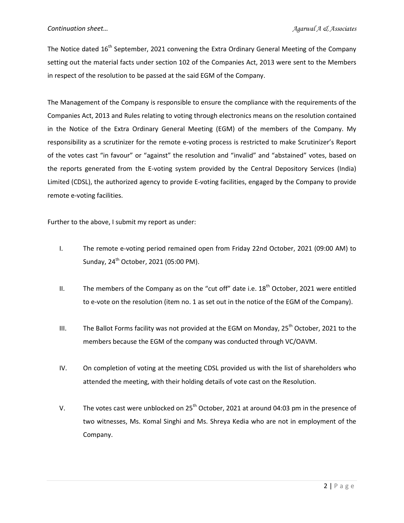The Notice dated  $16<sup>th</sup>$  September, 2021 convening the Extra Ordinary General Meeting of the Company setting out the material facts under section 102 of the Companies Act, 2013 were sent to the Members in respect of the resolution to be passed at the said EGM of the Company.

The Management of the Company is responsible to ensure the compliance with the requirements of the Companies Act, 2013 and Rules relating to voting through electronics means on the resolution contained in the Notice of the Extra Ordinary General Meeting (EGM) of the members of the Company. My responsibility as a scrutinizer for the remote e-voting process is restricted to make Scrutinizer's Report of the votes cast "in favour" or "against" the resolution and "invalid" and "abstained" votes, based on the reports generated from the E-voting system provided by the Central Depository Services (India) Limited (CDSL), the authorized agency to provide E-voting facilities, engaged by the Company to provide remote e-voting facilities.

Further to the above, I submit my report as under:

- I. The remote e-voting period remained open from Friday 22nd October, 2021 (09:00 AM) to Sunday, 24<sup>th</sup> October, 2021 (05:00 PM).
- II. The members of the Company as on the "cut off" date i.e.  $18<sup>th</sup>$  October, 2021 were entitled to e-vote on the resolution (item no. 1 as set out in the notice of the EGM of the Company).
- III. The Ballot Forms facility was not provided at the EGM on Monday,  $25^{th}$  October, 2021 to the members because the EGM of the company was conducted through VC/OAVM.
- IV. On completion of voting at the meeting CDSL provided us with the list of shareholders who attended the meeting, with their holding details of vote cast on the Resolution.
- V. The votes cast were unblocked on  $25<sup>th</sup>$  October, 2021 at around 04:03 pm in the presence of two witnesses, Ms. Komal Singhi and Ms. Shreya Kedia who are not in employment of the Company.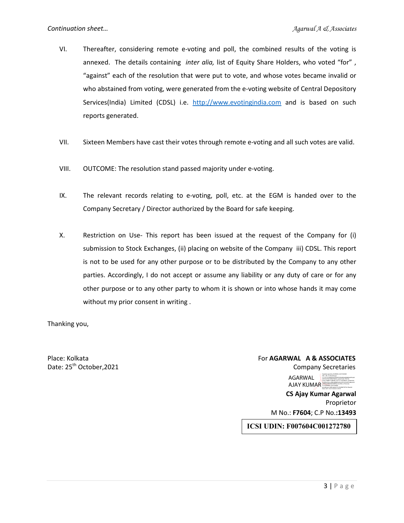- VI. Thereafter, considering remote e-voting and poll, the combined results of the voting is annexed. The details containing *inter alia,* list of Equity Share Holders, who voted "for" , "against" each of the resolution that were put to vote, and whose votes became invalid or who abstained from voting, were generated from the e-voting website of Central Depository Services(India) Limited (CDSL) i.e. http://www.evotingindia.com and is based on such reports generated.
- VII. Sixteen Members have cast their votes through remote e-voting and all such votes are valid.
- VIII. OUTCOME: The resolution stand passed majority under e-voting.
- IX. The relevant records relating to e-voting, poll, etc. at the EGM is handed over to the Company Secretary / Director authorized by the Board for safe keeping.
- X. Restriction on Use- This report has been issued at the request of the Company for (i) submission to Stock Exchanges, (ii) placing on website of the Company iii) CDSL. This report is not to be used for any other purpose or to be distributed by the Company to any other parties. Accordingly, I do not accept or assume any liability or any duty of care or for any other purpose or to any other party to whom it is shown or into whose hands it may come without my prior consent in writing .

Thanking you,

#### Place: Kolkata For **AGARWAL A & ASSOCIATES** Date:  $25<sup>th</sup> October, 2021$  Company Secretaries AGARWAL AJAY KUMAR Digitally signed by AGARWAL AJAY KUMAR DN: c=IN, st=West Bengal, 2.5.4.20=0ccf8dcf94e5efdaf5043fa089ed468df4e6095a48 e835e9e78c769f8475b9a7, postalCode=700136, street=AMBEY GARDEN, FLAT 3C, RAJARHAT, GOPALPUR, serialNumber=a9bbdd4ffb9a36ec69c5e18c9297e8ba30d a2909ec69895bb036899a12ecc09d, o=Personal, cn=AGARWAL AJAY KUMAR, pseudonym=e8b1ada6e161c95d08b79079e19ba6e8 Date: 2021.10.25 16:44:46 +05'30'

 **CS Ajay Kumar Agarwal**  Proprietor M No.: **F7604**; C.P No.**:13493** 

**ICSI UDIN: F007604C001272780**